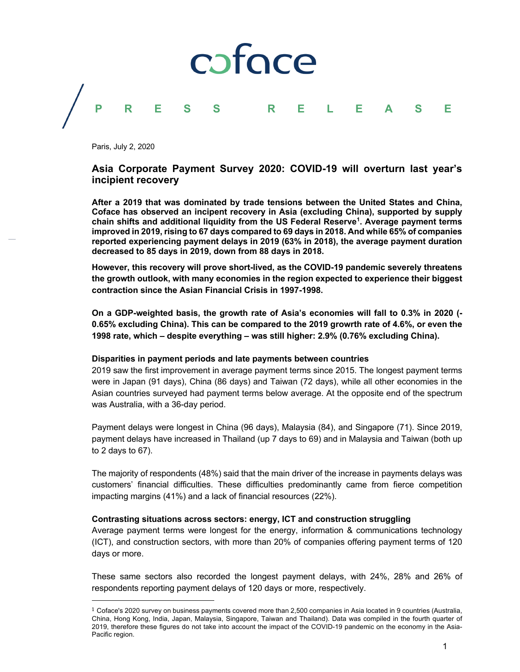# coface **PRESS RELEASE**

Paris, July 2, 2020

## **Asia Corporate Payment Survey 2020: COVID-19 will overturn last year's incipient recovery**

**After a 2019 that was dominated by trade tensions between the United States and China, Coface has observed an incipent recovery in Asia (excluding China), supported by supply chain shifts and additional liquidity from the US Federal Reserve1 . Average payment terms improved in 2019, rising to 67 days compared to 69 days in 2018. And while 65% of companies reported experiencing payment delays in 2019 (63% in 2018), the average payment duration decreased to 85 days in 2019, down from 88 days in 2018.**

**However, this recovery will prove short-lived, as the COVID-19 pandemic severely threatens the growth outlook, with many economies in the region expected to experience their biggest contraction since the Asian Financial Crisis in 1997-1998.**

**On a GDP-weighted basis, the growth rate of Asia's economies will fall to 0.3% in 2020 (- 0.65% excluding China). This can be compared to the 2019 growrth rate of 4.6%, or even the 1998 rate, which – despite everything – was still higher: 2.9% (0.76% excluding China).**

#### **Disparities in payment periods and late payments between countries**

2019 saw the first improvement in average payment terms since 2015. The longest payment terms were in Japan (91 days), China (86 days) and Taiwan (72 days), while all other economies in the Asian countries surveyed had payment terms below average. At the opposite end of the spectrum was Australia, with a 36-day period.

Payment delays were longest in China (96 days), Malaysia (84), and Singapore (71). Since 2019, payment delays have increased in Thailand (up 7 days to 69) and in Malaysia and Taiwan (both up to 2 days to 67).

The majority of respondents (48%) said that the main driver of the increase in payments delays was customers' financial difficulties. These difficulties predominantly came from fierce competition impacting margins (41%) and a lack of financial resources (22%).

### **Contrasting situations across sectors: energy, ICT and construction struggling**

Average payment terms were longest for the energy, information & communications technology (ICT), and construction sectors, with more than 20% of companies offering payment terms of 120 days or more.

These same sectors also recorded the longest payment delays, with 24%, 28% and 26% of respondents reporting payment delays of 120 days or more, respectively.

 $1$  Coface's 2020 survey on business payments covered more than 2,500 companies in Asia located in 9 countries (Australia, China, Hong Kong, India, Japan, Malaysia, Singapore, Taiwan and Thailand). Data was compiled in the fourth quarter of 2019, therefore these figures do not take into account the impact of the COVID-19 pandemic on the economy in the Asia-Pacific region.